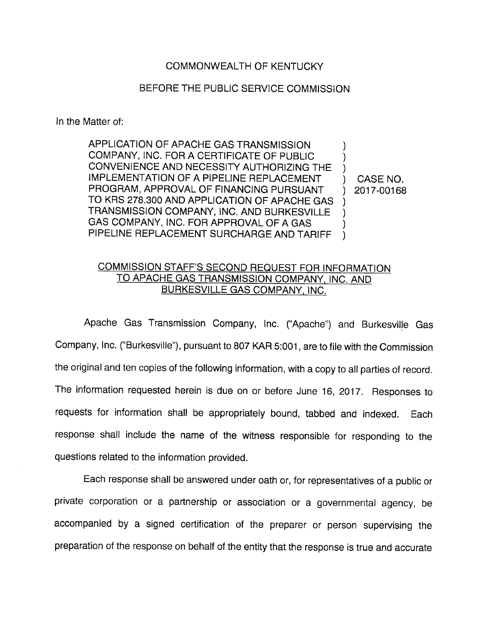## COMMONWEALTH OF KENTUCKY

## BEFORE THE PUBLIC SERVICE COMMISSION

In the Matter of:

APPLICATION OF APACHE GAS TRANSMISSION COMPANY, INC. FOR A CERTIFICATE OF PUBLIC CONVENIENCE AND NECESSITY AUTHORIZING THE IMPLEMENTATION OF A PIPELINE REPLACEMENT ) CASE NO. PROGRAM, APPROVAL OF FINANCING PURSUANT ) 2017-00168 TO KRS 278.300 AND APPLICATION OF APACHE GAS TRANSMISSION COMPANY, INC. AND BURKESVILLE  $\lambda$ GAS COMPANY, INC. FOR APPROVAL OF A GAS PIPELINE REPLACEMENT SURCHARGE AND TARIFF  $\lambda$ 

## COMMISSION STAFF'S SECOND REQUEST FOR INFORMATION TO APACHE GAS TRANSMISSION COMPANY. INC. AND BURKESVILLE GAS COMPANY. INC.

Apache Gas Transmission Company, Inc. ("Apache") and Burkesvilje Gas Company, Inc. ("Burkesville"), pursuant to 807 KAR 5:001, are to file with the Commission the original and ten copies of the following information, with a copy to all parties of record. The information requested herein is due on or before June 16, 2017. Responses to requests for information shall be appropriately bound, tabbed and indexed. Each response shall include the name of the witness responsible for responding to the questions related to the information provided.

Each response shall be answered under oath or, for representatives of a public or private corporation or a partnership or association or a governmental agency, be accompanied by a signed certification of the preparer or person supervising the preparation of the response on behalf of the entity that the response is true and accurate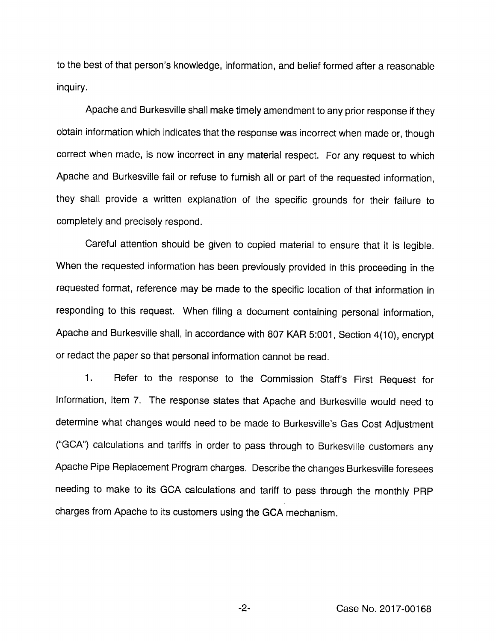to the best of that person's knowledge, information, and belief formed after a reasonable inquiry.

Apache and Burkesville shall make timely amendment to any prior response if they obtain information which indicates that the response was incorrect when made or, though correct when made, is now incorrect in any material respect. For any request to which Apache and Burkesville fail or refuse to furnish all or part of the requested information, they shall provide a written explanation of the specific grounds for their failure to completely and precisely respond.

Careful attention should be given to copied material to ensure that it is legible. When the requested information has been previously provided in this proceeding in the requested format, reference may be made to the specific location of that information in responding to this request. When filing a document containing personal information. Apache and Burkesville shall, in accordance with 807 KAR 5:001, Section 4(10), encrypt or redact the paper so that personal information cannot be read.

1. Refer to the response to the Commission Staff's First Request for Information, Item 7. The response states that Apache and Burkesville would need to determine what changes would need to be made to Burkesville's Gas Cost Adjustment ("OCA") calculations and tariffs in order to pass through to Burkesville customers any Apache Pipe Replacement Program charges. Describe the changes Burkesville foresees needing to make to its OCA calculations and tariff to pass through the monthly PRP charges from Apache to its customers using the GCA mechanism.

-2- Case No. 2017-00168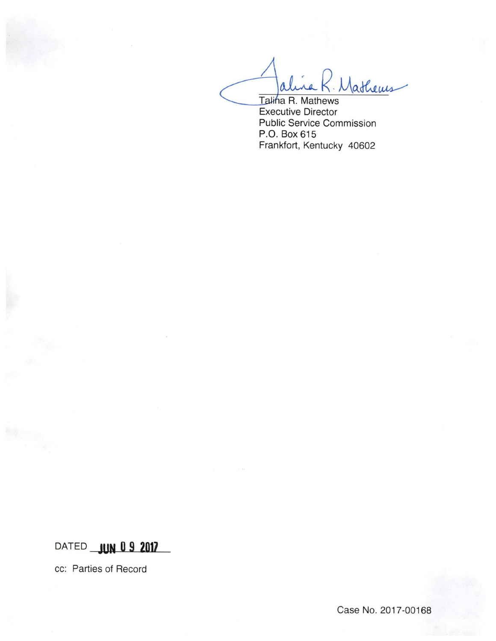Jathems Talina R. Mathews

Executive Director Public Service Commission P.O. Box 615 Frankfort, Kentucky 40602

## DATED **JUN 0 9 2017**

cc: Parties of Record